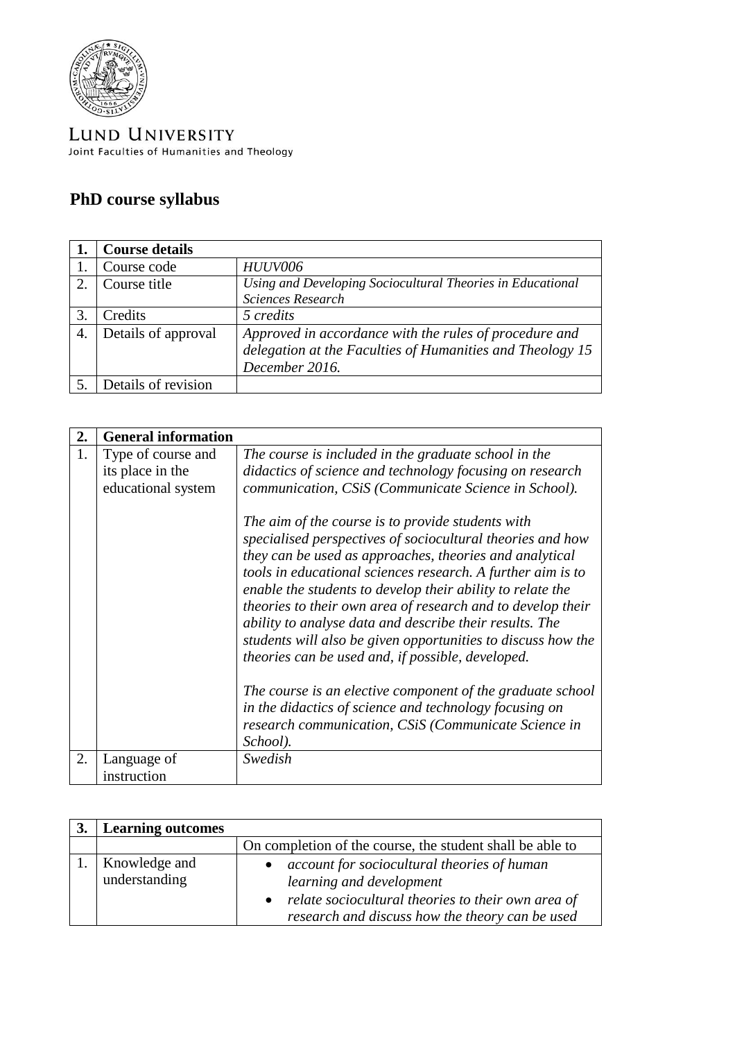

LUND UNIVERSITY Joint Faculties of Humanities and Theology

## **PhD course syllabus**

|    | <b>Course details</b> |                                                            |
|----|-----------------------|------------------------------------------------------------|
|    | Course code           | <b>HUUV006</b>                                             |
| 2. | Course title          | Using and Developing Sociocultural Theories in Educational |
|    |                       | Sciences Research                                          |
|    | Credits               | 5 credits                                                  |
| 4. | Details of approval   | Approved in accordance with the rules of procedure and     |
|    |                       | delegation at the Faculties of Humanities and Theology 15  |
|    |                       | December 2016.                                             |
|    | Details of revision   |                                                            |

| 2. | <b>General information</b> |                                                                                                                                                                                                                                                                                                                                                                                                                                                                                                                                                        |
|----|----------------------------|--------------------------------------------------------------------------------------------------------------------------------------------------------------------------------------------------------------------------------------------------------------------------------------------------------------------------------------------------------------------------------------------------------------------------------------------------------------------------------------------------------------------------------------------------------|
| 1. | Type of course and         | The course is included in the graduate school in the                                                                                                                                                                                                                                                                                                                                                                                                                                                                                                   |
|    | its place in the           | didactics of science and technology focusing on research                                                                                                                                                                                                                                                                                                                                                                                                                                                                                               |
|    | educational system         | communication, CSiS (Communicate Science in School).                                                                                                                                                                                                                                                                                                                                                                                                                                                                                                   |
|    |                            | The aim of the course is to provide students with<br>specialised perspectives of sociocultural theories and how<br>they can be used as approaches, theories and analytical<br>tools in educational sciences research. A further aim is to<br>enable the students to develop their ability to relate the<br>theories to their own area of research and to develop their<br>ability to analyse data and describe their results. The<br>students will also be given opportunities to discuss how the<br>theories can be used and, if possible, developed. |
|    |                            | The course is an elective component of the graduate school<br>in the didactics of science and technology focusing on<br>research communication, CSiS (Communicate Science in<br>School).                                                                                                                                                                                                                                                                                                                                                               |
| 2. | Language of                | Swedish                                                                                                                                                                                                                                                                                                                                                                                                                                                                                                                                                |
|    | instruction                |                                                                                                                                                                                                                                                                                                                                                                                                                                                                                                                                                        |

| <b>Learning outcomes</b>       |                                                                                                                                                                                               |
|--------------------------------|-----------------------------------------------------------------------------------------------------------------------------------------------------------------------------------------------|
|                                | On completion of the course, the student shall be able to                                                                                                                                     |
| Knowledge and<br>understanding | account for sociocultural theories of human<br>learning and development<br>relate sociocultural theories to their own area of<br>$\bullet$<br>research and discuss how the theory can be used |